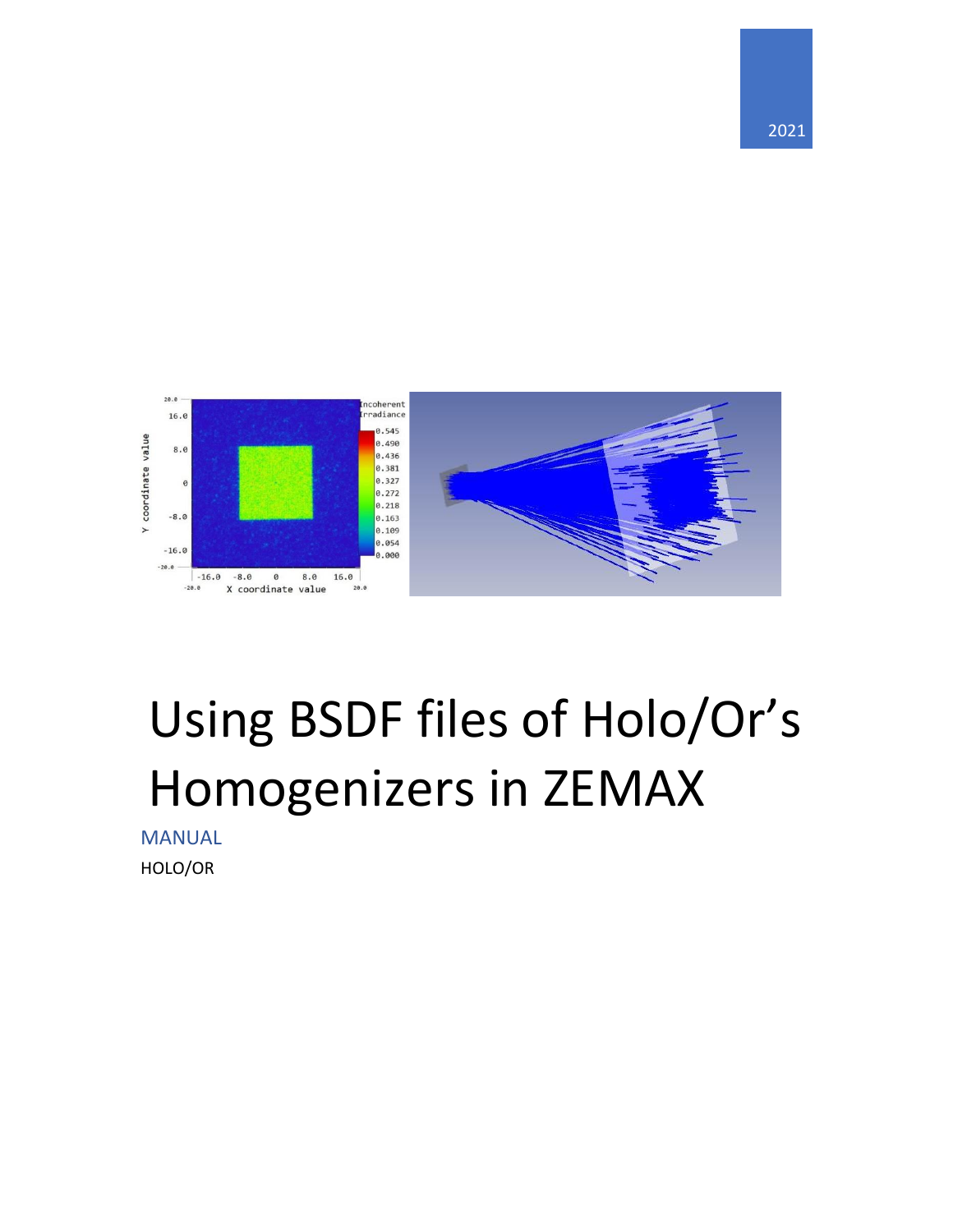

## Using BSDF files of Holo/Or's Homogenizers in ZEMAX

MANUAL HOLO/OR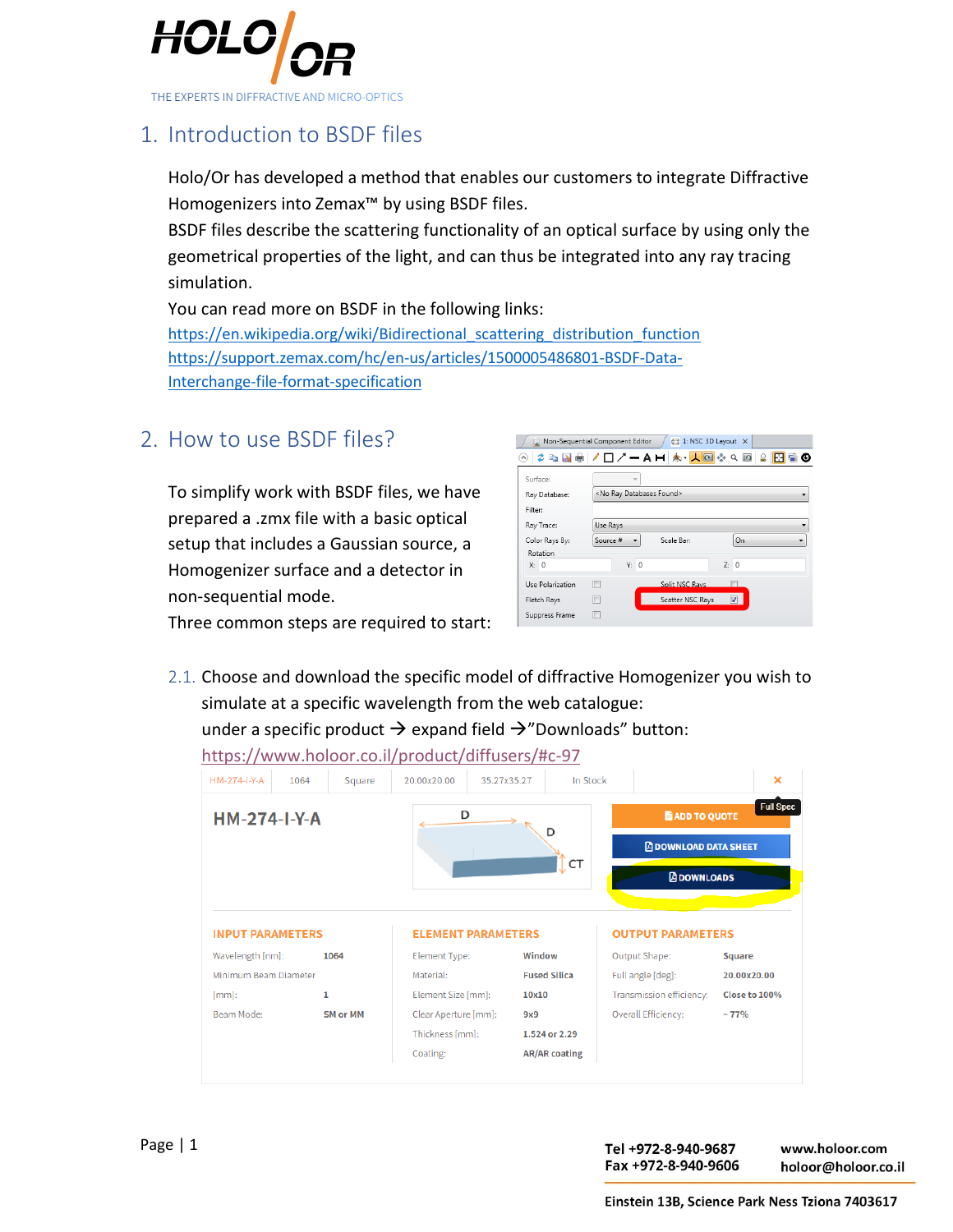

## 1. Introduction to BSDF files

Holo/Or has developed a method that enables our customers to integrate Diffractive Homogenizers into Zemax™ by using BSDF files.

BSDF files describe the scattering functionality of an optical surface by using only the geometrical properties of the light, and can thus be integrated into any ray tracing simulation.

You can read more on BSDF in the following links:

[https://en.wikipedia.org/wiki/Bidirectional\\_scattering\\_distribution\\_function](https://en.wikipedia.org/wiki/Bidirectional_scattering_distribution_function) [https://support.zemax.com/hc/en-us/articles/1500005486801-BSDF-Data-](https://support.zemax.com/hc/en-us/articles/1500005486801-BSDF-Data-Interchange-file-format-specification)[Interchange-file-format-specification](https://support.zemax.com/hc/en-us/articles/1500005486801-BSDF-Data-Interchange-file-format-specification)

2. How to use BSDF files?

To simplify work with BSDF files, we have prepared a .zmx file with a basic optical setup that includes a Gaussian source, a Homogenizer surface and a detector in non-sequential mode.

|                  | Non-Sequential Component Editor        | 日 1: NSC 3D Layout × |                          |            |
|------------------|----------------------------------------|----------------------|--------------------------|------------|
|                  |                                        |                      | $Q \Box$                 | <b>REO</b> |
| Surface:         | v                                      |                      |                          |            |
| Ray Database:    | <no databases="" found="" ray=""></no> |                      |                          |            |
| Filter:          |                                        |                      |                          |            |
| Ray Trace:       | Use Rays                               |                      |                          |            |
| Color Rays By:   | Source #                               | Scale Ban            | On                       |            |
| Rotation         |                                        |                      |                          |            |
| X: 0             | Y: 0                                   |                      | Z: 0                     |            |
| Use Polarization | г                                      | Split NSC Rays       |                          |            |
| Fletch Rays      |                                        | Scatter NSC Rays     | $\overline{\mathcal{A}}$ |            |
| Suppress Frame   |                                        |                      |                          |            |

Three common steps are required to start:

2.1. Choose and download the specific model of diffractive Homogenizer you wish to simulate at a specific wavelength from the web catalogue: under a specific product  $\rightarrow$  expand field  $\rightarrow$ "Downloads" button:

| HM-274-I-Y-A<br>1064                                                |                 | Square | 20.00x20.00<br>35.27x35.27 | In Stock            |                                                                            | ×                |
|---------------------------------------------------------------------|-----------------|--------|----------------------------|---------------------|----------------------------------------------------------------------------|------------------|
| <b>HM-274-I-Y-A</b>                                                 |                 |        | D                          | D<br>CT             | <b>E</b> ADD TO QUOTE<br><b>A DOWNLOAD DATA SHEET</b><br><b>ADOWNLOADS</b> | <b>Full Spec</b> |
|                                                                     |                 |        |                            |                     |                                                                            |                  |
| <b>INPUT PARAMETERS</b>                                             |                 |        | <b>ELEMENT PARAMETERS</b>  |                     | <b>OUTPUT PARAMETERS</b>                                                   |                  |
|                                                                     | 1064            |        | Element Type:              | Window              | Output Shape:                                                              | <b>Square</b>    |
|                                                                     |                 |        | Material:                  | <b>Fused Silica</b> | Full angle [deg]:                                                          | 20.00x20.00      |
|                                                                     | 1               |        | Element Size [mm]:         | 10x10               | Transmission efficiency:                                                   | Close to 100%    |
|                                                                     | <b>SM or MM</b> |        | Clear Aperture [mm]:       | 9x9                 | Overall Efficiency:                                                        | ~177%            |
| Wavelength [nm]:<br>Minimum Beam Diameter<br>$[mm]$ :<br>Beam Mode: |                 |        | Thickness [mm]:            | 1.524 or 2.29       |                                                                            |                  |

<https://www.holoor.co.il/product/diffusers/#c-97>

www.holoor.com holoor@holoor.co.il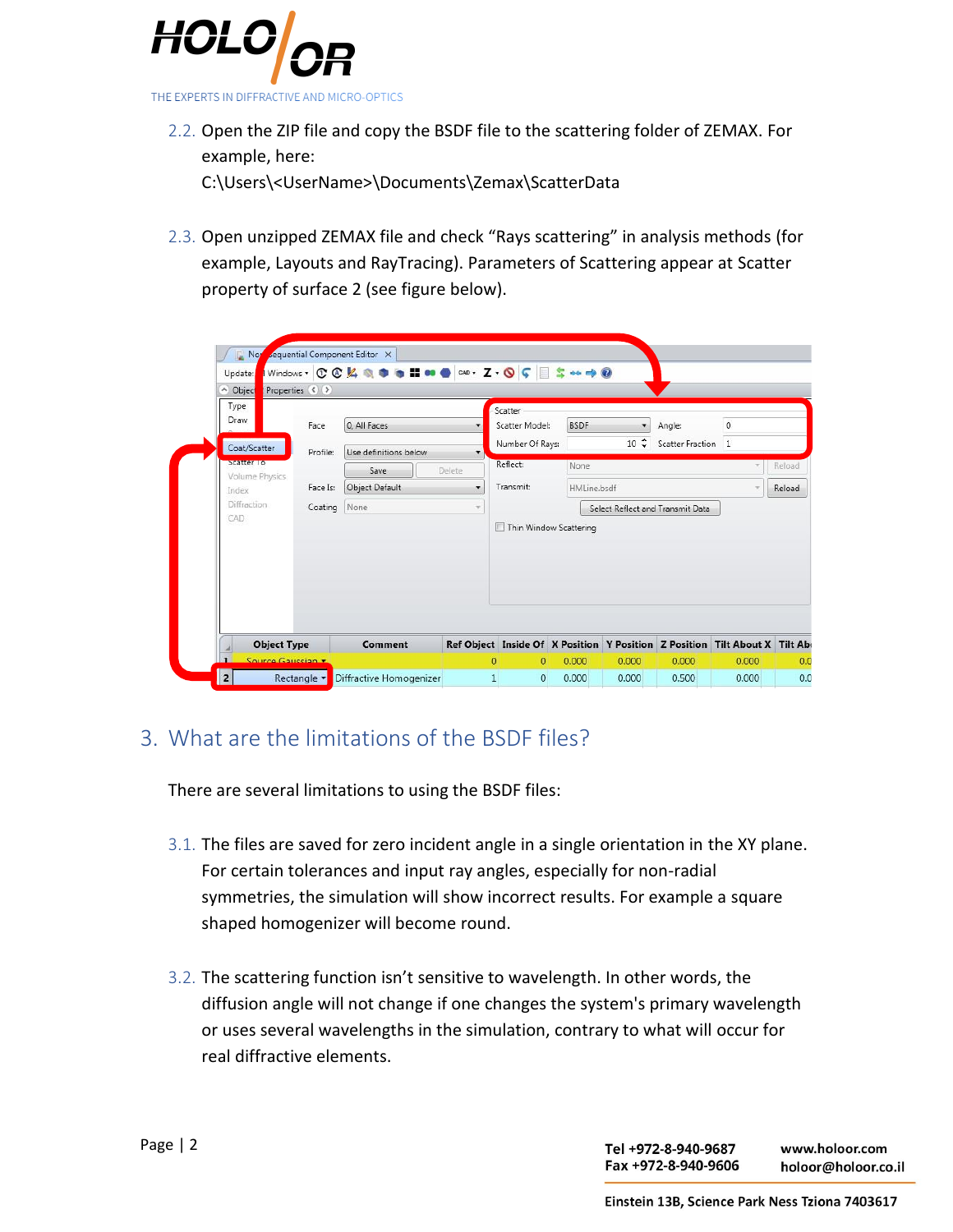

2.2. Open the ZIP file and copy the BSDF file to the scattering folder of ZEMAX. For example, here:

C:\Users\<UserName>\Documents\Zemax\ScatterData

2.3. Open unzipped ZEMAX file and check "Rays scattering" in analysis methods (for example, Layouts and RayTracing). Parameters of Scattering appear at Scatter property of surface 2 (see figure below).

|                            | A Object<br>Properties ( ) |                                           |                         |              |                           |             |             |                                  |                                                                             |        |
|----------------------------|----------------------------|-------------------------------------------|-------------------------|--------------|---------------------------|-------------|-------------|----------------------------------|-----------------------------------------------------------------------------|--------|
|                            | Type<br>Draw<br>Face       |                                           | 0. All Faces            | ۰            | Scatter<br>Scatter Model: | <b>BSDF</b> | ۰           | Angle:                           | $\overline{0}$                                                              |        |
| Coat/Scatter<br>Scatter To |                            | Use definitions below<br>Profile:<br>Save |                         | ۰            | Number Of Rays:           |             | $10 \div$   |                                  | Scatter Fraction 1                                                          |        |
|                            | Volume Physics             |                                           |                         | Delete       | Reflect:                  | None        |             |                                  | $\overline{\nabla}$                                                         | Reload |
|                            | Face Is:<br>Index          |                                           | <b>Object Default</b>   | ۰            | Transmit:                 |             | HMLine.bsdf |                                  | $\pi$                                                                       | Reload |
| <b>Diffraction</b>         | CAD.                       | Coating                                   | None                    | ÷            |                           |             |             | Select Reflect and Transmit Data |                                                                             |        |
|                            |                            |                                           |                         |              | Thin Window Scattering    |             |             |                                  |                                                                             |        |
|                            | <b>Object Type</b>         |                                           | Comment                 |              |                           |             |             |                                  | Ref Object Inside Of X Position Y Position Z Position Tilt About X Tilt Abo |        |
|                            | Source Gaussian            |                                           |                         | $\Omega$     | $\overline{0}$            | 0.000       | 0.000       | 0.000                            | 0.000                                                                       |        |
| $\overline{\mathbf{2}}$    | Rectangle v                |                                           | Diffractive Homogenizer | $\mathbf{1}$ | $\circ$                   | 0.000       | 0.000       | 0.500                            | 0.000                                                                       |        |

## 3. What are the limitations of the BSDF files?

There are several limitations to using the BSDF files:

- 3.1. The files are saved for zero incident angle in a single orientation in the XY plane. For certain tolerances and input ray angles, especially for non-radial symmetries, the simulation will show incorrect results. For example a square shaped homogenizer will become round.
- 3.2. The scattering function isn't sensitive to wavelength. In other words, the diffusion angle will not change if one changes the system's primary wavelength or uses several wavelengths in the simulation, contrary to what will occur for real diffractive elements.